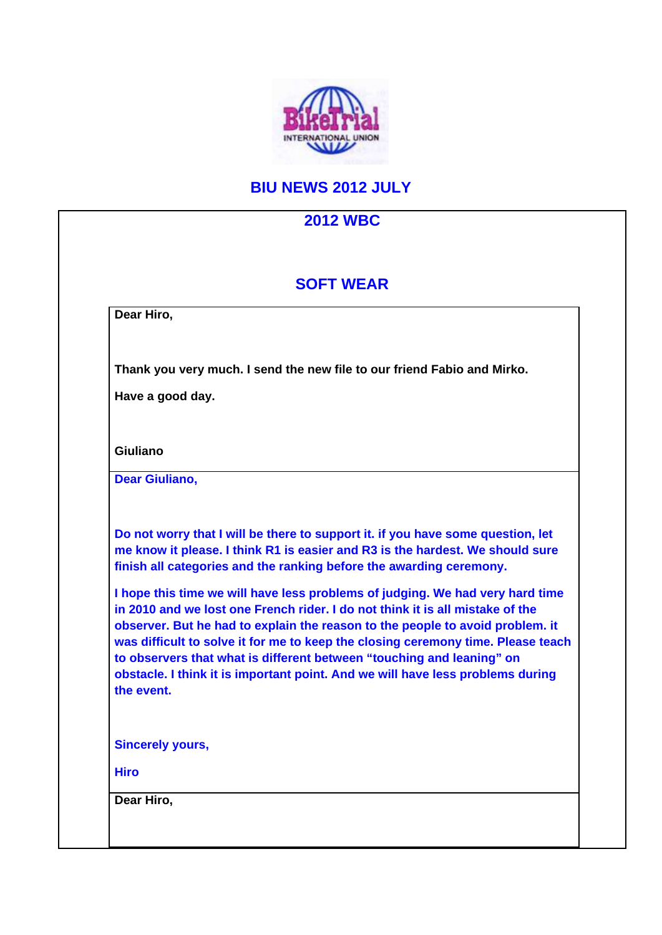

## **BIU NEWS 2012 JULY**

|                         | <b>SOFT WEAR</b>                                                                                                                                                                                                                                                                                                                                                                                                                                                                                                                                                                                                                                       |
|-------------------------|--------------------------------------------------------------------------------------------------------------------------------------------------------------------------------------------------------------------------------------------------------------------------------------------------------------------------------------------------------------------------------------------------------------------------------------------------------------------------------------------------------------------------------------------------------------------------------------------------------------------------------------------------------|
| Dear Hiro,              |                                                                                                                                                                                                                                                                                                                                                                                                                                                                                                                                                                                                                                                        |
|                         | Thank you very much. I send the new file to our friend Fabio and Mirko.                                                                                                                                                                                                                                                                                                                                                                                                                                                                                                                                                                                |
| Have a good day.        |                                                                                                                                                                                                                                                                                                                                                                                                                                                                                                                                                                                                                                                        |
| <b>Giuliano</b>         |                                                                                                                                                                                                                                                                                                                                                                                                                                                                                                                                                                                                                                                        |
| <b>Dear Giuliano,</b>   |                                                                                                                                                                                                                                                                                                                                                                                                                                                                                                                                                                                                                                                        |
| the event.              | me know it please. I think R1 is easier and R3 is the hardest. We should sure<br>finish all categories and the ranking before the awarding ceremony.<br>I hope this time we will have less problems of judging. We had very hard time<br>in 2010 and we lost one French rider. I do not think it is all mistake of the<br>observer. But he had to explain the reason to the people to avoid problem. it<br>was difficult to solve it for me to keep the closing ceremony time. Please teach<br>to observers that what is different between "touching and leaning" on<br>obstacle. I think it is important point. And we will have less problems during |
| <b>Sincerely yours,</b> |                                                                                                                                                                                                                                                                                                                                                                                                                                                                                                                                                                                                                                                        |
| <b>Hiro</b>             |                                                                                                                                                                                                                                                                                                                                                                                                                                                                                                                                                                                                                                                        |
| Dear Hiro,              |                                                                                                                                                                                                                                                                                                                                                                                                                                                                                                                                                                                                                                                        |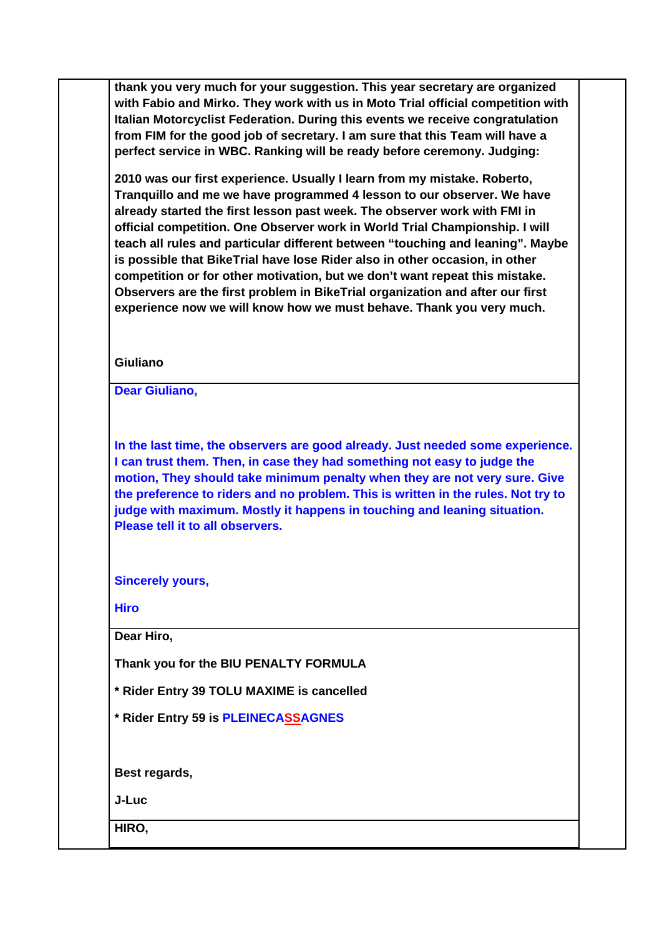**thank you very much for your suggestion. This year secretary are organized with Fabio and Mirko. They work with us in Moto Trial official competition with Italian Motorcyclist Federation. During this events we receive congratulation from FIM for the good job of secretary. I am sure that this Team will have a perfect service in WBC. Ranking will be ready before ceremony. Judging:** 

**2010 was our first experience. Usually I learn from my mistake. Roberto, Tranquillo and me we have programmed 4 lesson to our observer. We have already started the first lesson past week. The observer work with FMI in official competition. One Observer work in World Trial Championship. I will teach all rules and particular different between "touching and leaning". Maybe is possible that BikeTrial have lose Rider also in other occasion, in other competition or for other motivation, but we don't want repeat this mistake. Observers are the first problem in BikeTrial organization and after our first experience now we will know how we must behave. Thank you very much.**

## **Giuliano**

**Dear Giuliano,**

**In the last time, the observers are good already. Just needed some experience. I can trust them. Then, in case they had something not easy to judge the motion, They should take minimum penalty when they are not very sure. Give the preference to riders and no problem. This is written in the rules. Not try to judge with maximum. Mostly it happens in touching and leaning situation. Please tell it to all observers.**

**Sincerely yours,**

**Hiro**

**Dear Hiro,**

**Thank you for the BIU PENALTY FORMULA** 

**\* Rider Entry 39 TOLU MAXIME is cancelled**

**\* Rider Entry 59 is PLEINECASSAGNES**

**Best regards,**

**J-Luc**

**HIRO,**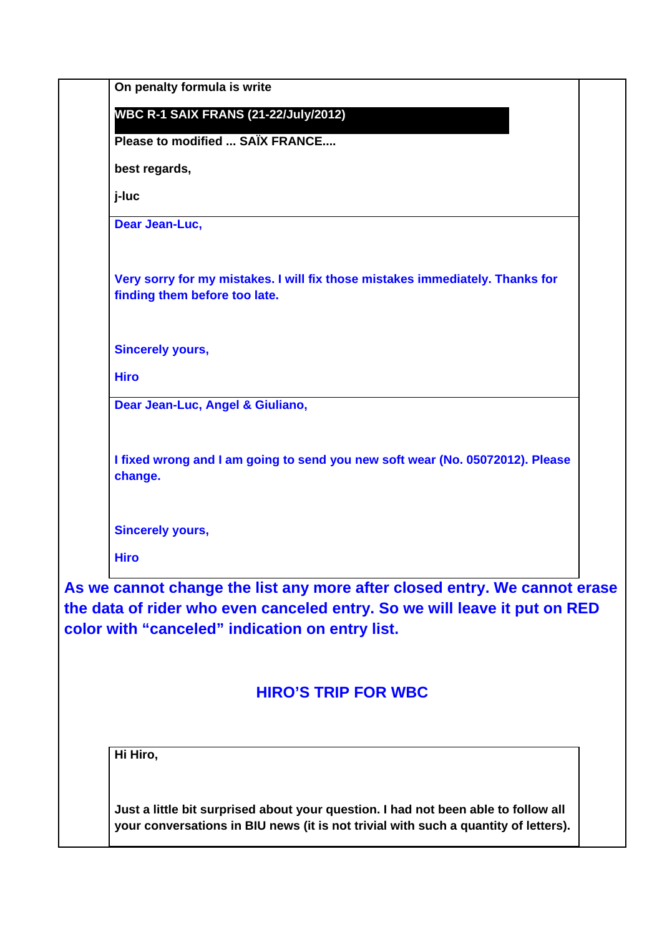| On penalty formula is write                                                                                                                                                                               |  |  |
|-----------------------------------------------------------------------------------------------------------------------------------------------------------------------------------------------------------|--|--|
| <b>WBC R-1 SAIX FRANS (21-22/July/2012)</b>                                                                                                                                                               |  |  |
| Please to modified  SAÏX FRANCE                                                                                                                                                                           |  |  |
| best regards,                                                                                                                                                                                             |  |  |
| j-luc                                                                                                                                                                                                     |  |  |
| Dear Jean-Luc,                                                                                                                                                                                            |  |  |
| Very sorry for my mistakes. I will fix those mistakes immediately. Thanks for<br>finding them before too late.                                                                                            |  |  |
| <b>Sincerely yours,</b>                                                                                                                                                                                   |  |  |
| <b>Hiro</b>                                                                                                                                                                                               |  |  |
| Dear Jean-Luc, Angel & Giuliano,                                                                                                                                                                          |  |  |
| I fixed wrong and I am going to send you new soft wear (No. 05072012). Please<br>change.                                                                                                                  |  |  |
| <b>Sincerely yours,</b>                                                                                                                                                                                   |  |  |
| <b>Hiro</b>                                                                                                                                                                                               |  |  |
| As we cannot change the list any more after closed entry. We cannot erase<br>the data of rider who even canceled entry. So we will leave it put on RED<br>color with "canceled" indication on entry list. |  |  |
| <b>HIRO'S TRIP FOR WBC</b>                                                                                                                                                                                |  |  |
| Hi Hiro,                                                                                                                                                                                                  |  |  |
| Just a little bit surprised about your question. I had not been able to follow all<br>your conversations in BIU news (it is not trivial with such a quantity of letters).                                 |  |  |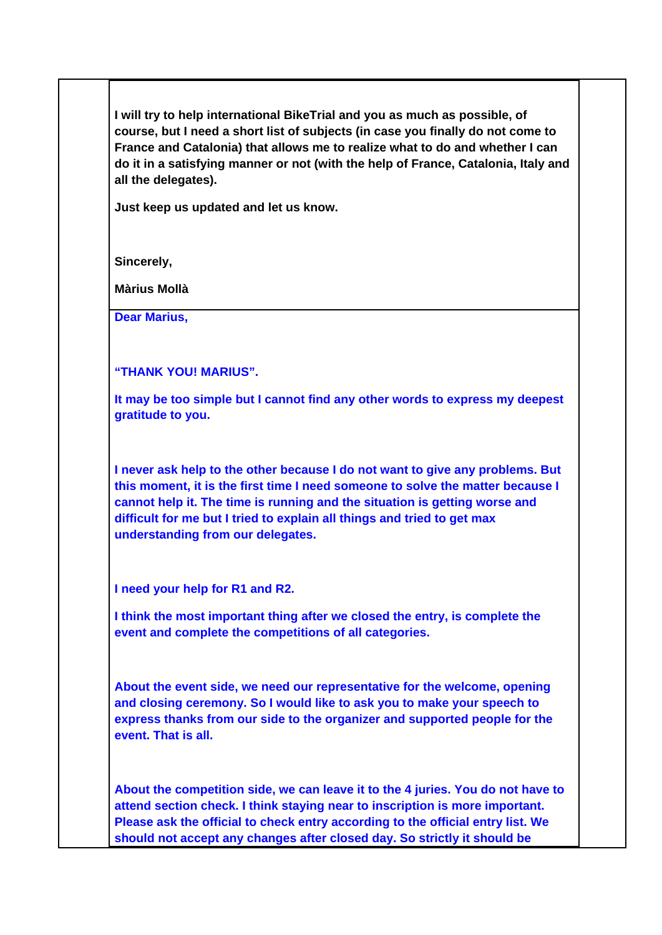**I will try to help international BikeTrial and you as much as possible, of course, but I need a short list of subjects (in case you finally do not come to France and Catalonia) that allows me to realize what to do and whether I can do it in a satisfying manner or not (with the help of France, Catalonia, Italy and all the delegates).**

**Just keep us updated and let us know.** 

**Sincerely,**

**Màrius Mollà**

**Dear Marius,**

**"THANK YOU! MARIUS".** 

**It may be too simple but I cannot find any other words to express my deepest gratitude to you.** 

**I never ask help to the other because I do not want to give any problems. But this moment, it is the first time I need someone to solve the matter because I cannot help it. The time is running and the situation is getting worse and difficult for me but I tried to explain all things and tried to get max understanding from our delegates.** 

**I need your help for R1 and R2.** 

**I think the most important thing after we closed the entry, is complete the event and complete the competitions of all categories.** 

**About the event side, we need our representative for the welcome, opening and closing ceremony. So I would like to ask you to make your speech to express thanks from our side to the organizer and supported people for the event. That is all.**

**About the competition side, we can leave it to the 4 juries. You do not have to attend section check. I think staying near to inscription is more important. Please ask the official to check entry according to the official entry list. We should not accept any changes after closed day. So strictly it should be**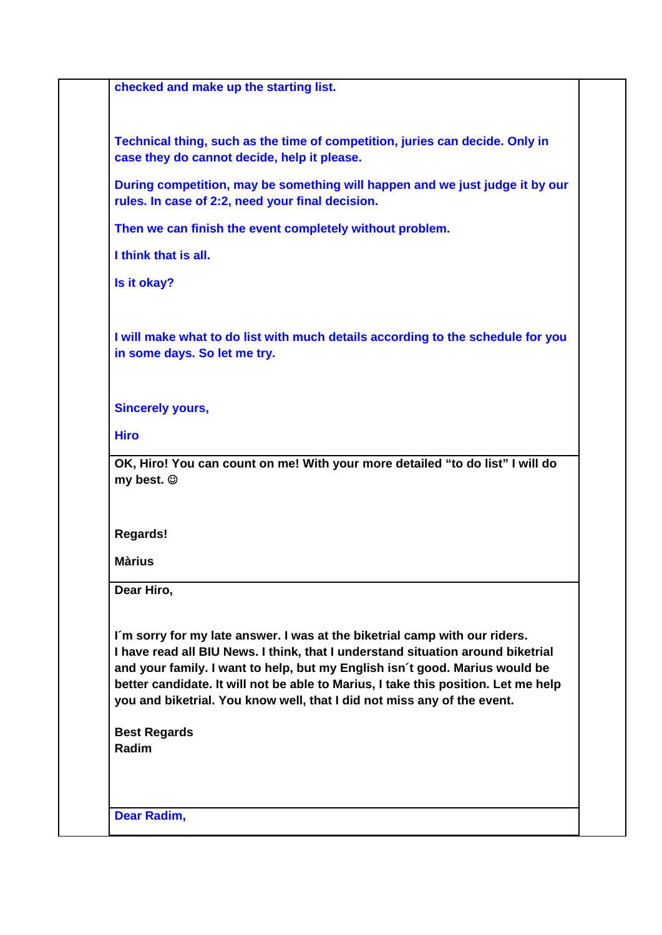**checked and make up the starting list.** 

**Technical thing, such as the time of competition, juries can decide. Only in case they do cannot decide, help it please.**

**During competition, may be something will happen and we just judge it by our rules. In case of 2:2, need your final decision.** 

**Then we can finish the event completely without problem.** 

**I think that is all.** 

**Is it okay?**

**I will make what to do list with much details according to the schedule for you in some days. So let me try.** 

## **Sincerely yours,**

**Hiro**

**OK, Hiro! You can count on me! With your more detailed "to do list" I will do my best.** 

**Regards!**

**Màrius**

**Dear Hiro,** 

**I´m sorry for my late answer. I was at the biketrial camp with our riders. I have read all BIU News. I think, that I understand situation around biketrial and your family. I want to help, but my English isn´t good. Marius would be better candidate. It will not be able to Marius, I take this position. Let me help you and biketrial. You know well, that I did not miss any of the event.** 

**Best Regards Radim**

**Dear Radim,**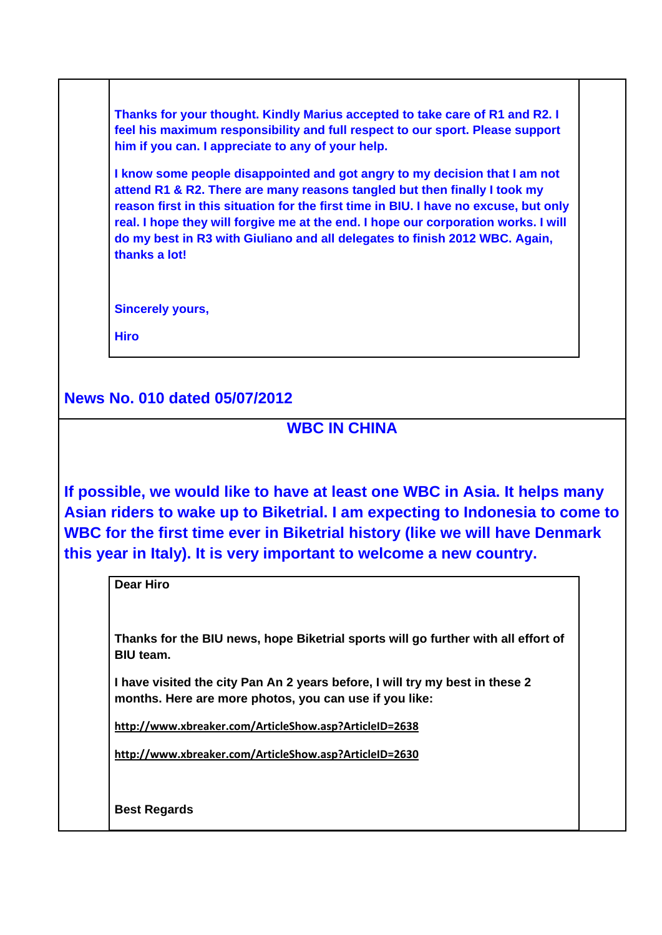**Thanks for your thought. Kindly Marius accepted to take care of R1 and R2. I feel his maximum responsibility and full respect to our sport. Please support him if you can. I appreciate to any of your help.** 

**I know some people disappointed and got angry to my decision that I am not attend R1 & R2. There are many reasons tangled but then finally I took my reason first in this situation for the first time in BIU. I have no excuse, but only real. I hope they will forgive me at the end. I hope our corporation works. I will do my best in R3 with Giuliano and all delegates to finish 2012 WBC. Again, thanks a lot!**

**Sincerely yours,**

**Hiro** 

**News No. 010 dated 05/07/2012**

## **WBC IN CHINA**

**If possible, we would like to have at least one WBC in Asia. It helps many Asian riders to wake up to Biketrial. I am expecting to Indonesia to come to WBC for the first time ever in Biketrial history (like we will have Denmark this year in Italy). It is very important to welcome a new country.**

**Dear Hiro** 

**Thanks for the BIU news, hope Biketrial sports will go further with all effort of BIU team.**

**I have visited the city Pan An 2 years before, I will try my best in these 2 months. Here are more photos, you can use if you like:**

**http://www.xbreaker.com/ArticleShow.asp?ArticleID=2638**

**http://www.xbreaker.com/ArticleShow.asp?ArticleID=2630**

**Best Regards**